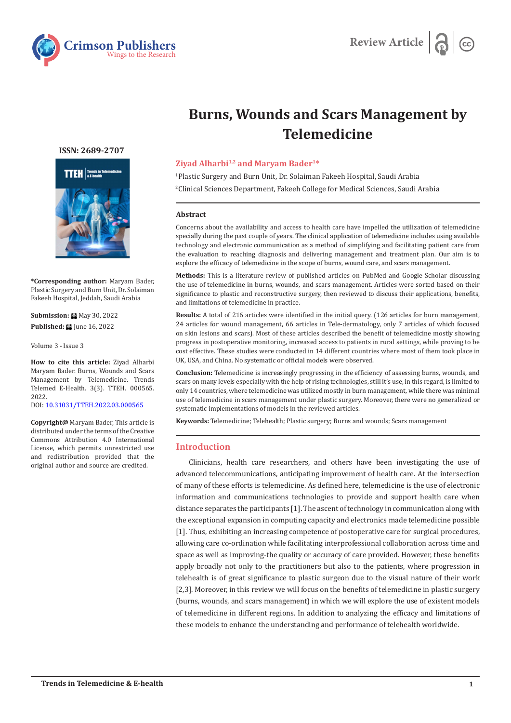

# **Burns, Wounds and Scars Management by Telemedicine**

## **ISSN: 2689-2707**



**\*Corresponding author:** Maryam Bader, Plastic Surgery and Burn Unit, Dr. Solaiman Fakeeh Hospital, Jeddah, Saudi Arabia

**Submission:** May 30, 2022 **Published:** June 16, 2022

Volume 3 - Issue 3

**How to cite this article:** Ziyad Alharbi Maryam Bader. Burns, Wounds and Scars Management by Telemedicine. Trends Telemed E-Health. 3(3). TTEH. 000565. 2022. DOI: [10.31031/TTEH.2022.03.000565](http://dx.doi.org/10.31031/TTEH.2022.03.000565)

**Copyright@** Maryam Bader, This article is distributed under the terms of the Creative Commons Attribution 4.0 International License, which permits unrestricted use and redistribution provided that the original author and source are credited.

## **Ziyad Alharbi1,2 and Maryam Bader1\***

1 Plastic Surgery and Burn Unit, Dr. Solaiman Fakeeh Hospital, Saudi Arabia

2 Clinical Sciences Department, Fakeeh College for Medical Sciences, Saudi Arabia

#### **Abstract**

Concerns about the availability and access to health care have impelled the utilization of telemedicine specially during the past couple of years. The clinical application of telemedicine includes using available technology and electronic communication as a method of simplifying and facilitating patient care from the evaluation to reaching diagnosis and delivering management and treatment plan. Our aim is to explore the efficacy of telemedicine in the scope of burns, wound care, and scars management.

**Methods:** This is a literature review of published articles on PubMed and Google Scholar discussing the use of telemedicine in burns, wounds, and scars management. Articles were sorted based on their significance to plastic and reconstructive surgery, then reviewed to discuss their applications, benefits, and limitations of telemedicine in practice.

**Results:** A total of 216 articles were identified in the initial query. (126 articles for burn management, 24 articles for wound management, 66 articles in Tele-dermatology, only 7 articles of which focused on skin lesions and scars). Most of these articles described the benefit of telemedicine mostly showing progress in postoperative monitoring, increased access to patients in rural settings, while proving to be cost effective. These studies were conducted in 14 different countries where most of them took place in UK, USA, and China. No systematic or official models were observed.

**Conclusion:** Telemedicine is increasingly progressing in the efficiency of assessing burns, wounds, and scars on many levels especially with the help of rising technologies, still it's use, in this regard, is limited to only 14 countries, where telemedicine was utilized mostly in burn management, while there was minimal use of telemedicine in scars management under plastic surgery. Moreover, there were no generalized or systematic implementations of models in the reviewed articles.

**Keywords:** Telemedicine; Telehealth; Plastic surgery; Burns and wounds; Scars management

## **Introduction**

Clinicians, health care researchers, and others have been investigating the use of advanced telecommunications, anticipating improvement of health care. At the intersection of many of these efforts is telemedicine. As defined here, telemedicine is the use of electronic information and communications technologies to provide and support health care when distance separates the participants [1]. The ascent of technology in communication along with the exceptional expansion in computing capacity and electronics made telemedicine possible [1]. Thus, exhibiting an increasing competence of postoperative care for surgical procedures, allowing care co-ordination while facilitating interprofessional collaboration across time and space as well as improving-the quality or accuracy of care provided. However, these benefits apply broadly not only to the practitioners but also to the patients, where progression in telehealth is of great significance to plastic surgeon due to the visual nature of their work [2,3]. Moreover, in this review we will focus on the benefits of telemedicine in plastic surgery (burns, wounds, and scars management) in which we will explore the use of existent models of telemedicine in different regions. In addition to analyzing the efficacy and limitations of these models to enhance the understanding and performance of telehealth worldwide.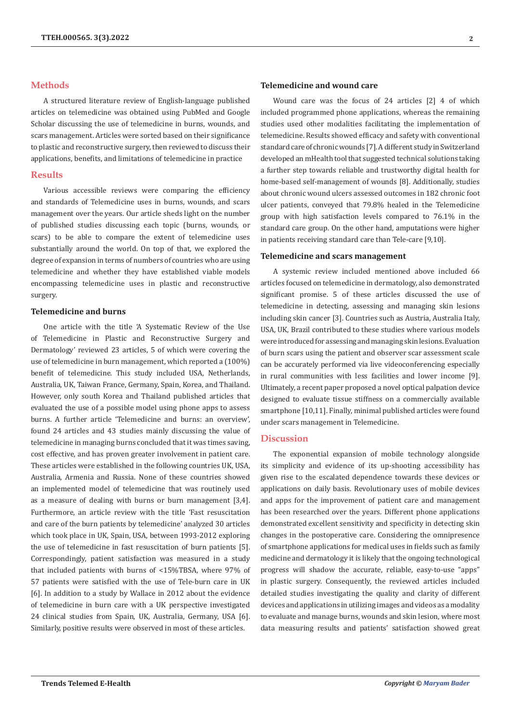## **Methods**

A structured literature review of English-language published articles on telemedicine was obtained using PubMed and Google Scholar discussing the use of telemedicine in burns, wounds, and scars management. Articles were sorted based on their significance to plastic and reconstructive surgery, then reviewed to discuss their applications, benefits, and limitations of telemedicine in practice

### **Results**

Various accessible reviews were comparing the efficiency and standards of Telemedicine uses in burns, wounds, and scars management over the years. Our article sheds light on the number of published studies discussing each topic (burns, wounds, or scars) to be able to compare the extent of telemedicine uses substantially around the world. On top of that, we explored the degree of expansion in terms of numbers of countries who are using telemedicine and whether they have established viable models encompassing telemedicine uses in plastic and reconstructive surgery.

# **Telemedicine and burns**

One article with the title 'A Systematic Review of the Use of Telemedicine in Plastic and Reconstructive Surgery and Dermatology' reviewed 23 articles, 5 of which were covering the use of telemedicine in burn management, which reported a (100%) benefit of telemedicine. This study included USA, Netherlands, Australia, UK, Taiwan France, Germany, Spain, Korea, and Thailand. However, only south Korea and Thailand published articles that evaluated the use of a possible model using phone apps to assess burns. A further article 'Telemedicine and burns: an overview', found 24 articles and 43 studies mainly discussing the value of telemedicine in managing burns concluded that it was times saving, cost effective, and has proven greater involvement in patient care. These articles were established in the following countries UK, USA, Australia, Armenia and Russia. None of these countries showed an implemented model of telemedicine that was routinely used as a measure of dealing with burns or burn management [3,4]. Furthermore, an article review with the title 'Fast resuscitation and care of the burn patients by telemedicine' analyzed 30 articles which took place in UK, Spain, USA, between 1993-2012 exploring the use of telemedicine in fast resuscitation of burn patients [5]. Correspondingly, patient satisfaction was measured in a study that included patients with burns of <15%TBSA, where 97% of 57 patients were satisfied with the use of Tele-burn care in UK [6]. In addition to a study by Wallace in 2012 about the evidence of telemedicine in burn care with a UK perspective investigated 24 clinical studies from Spain, UK, Australia, Germany, USA [6]. Similarly, positive results were observed in most of these articles.

## **Telemedicine and wound care**

Wound care was the focus of 24 articles [2] 4 of which included programmed phone applications, whereas the remaining studies used other modalities facilitating the implementation of telemedicine. Results showed efficacy and safety with conventional standard care of chronic wounds [7]. A different study in Switzerland developed an mHealth tool that suggested technical solutions taking a further step towards reliable and trustworthy digital health for home-based self-management of wounds [8]. Additionally, studies about chronic wound ulcers assessed outcomes in 182 chronic foot ulcer patients, conveyed that 79.8% healed in the Telemedicine group with high satisfaction levels compared to 76.1% in the standard care group. On the other hand, amputations were higher in patients receiving standard care than Tele-care [9,10].

## **Telemedicine and scars management**

A systemic review included mentioned above included 66 articles focused on telemedicine in dermatology, also demonstrated significant promise. 5 of these articles discussed the use of telemedicine in detecting, assessing and managing skin lesions including skin cancer [3]. Countries such as Austria, Australia Italy, USA, UK, Brazil contributed to these studies where various models were introduced for assessing and managing skin lesions. Evaluation of burn scars using the patient and observer scar assessment scale can be accurately performed via live videoconferencing especially in rural communities with less facilities and lower income [9]. Ultimately, a recent paper proposed a novel optical palpation device designed to evaluate tissue stiffness on a commercially available smartphone [10,11]. Finally, minimal published articles were found under scars management in Telemedicine.

## **Discussion**

The exponential expansion of mobile technology alongside its simplicity and evidence of its up-shooting accessibility has given rise to the escalated dependence towards these devices or applications on daily basis. Revolutionary uses of mobile devices and apps for the improvement of patient care and management has been researched over the years. Different phone applications demonstrated excellent sensitivity and specificity in detecting skin changes in the postoperative care. Considering the omnipresence of smartphone applications for medical uses in fields such as family medicine and dermatology it is likely that the ongoing technological progress will shadow the accurate, reliable, easy-to-use "apps" in plastic surgery. Consequently, the reviewed articles included detailed studies investigating the quality and clarity of different devices and applications in utilizing images and videos as a modality to evaluate and manage burns, wounds and skin lesion, where most data measuring results and patients' satisfaction showed great